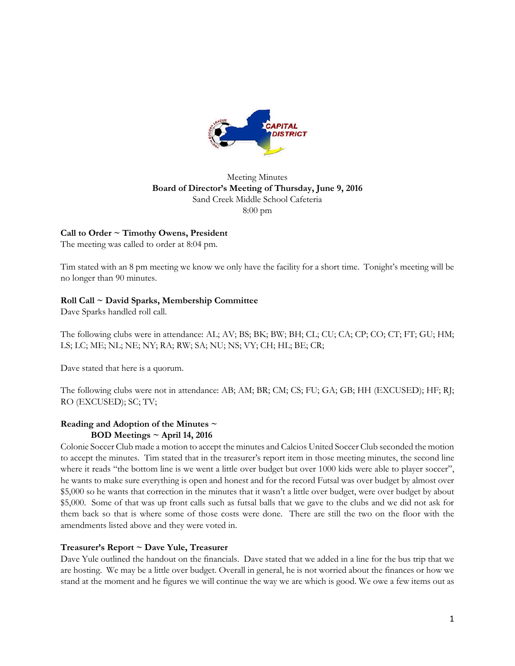

# Meeting Minutes **Board of Director's Meeting of Thursday, June 9, 2016** Sand Creek Middle School Cafeteria 8:00 pm

# **Call to Order ~ Timothy Owens, President**

The meeting was called to order at 8:04 pm.

Tim stated with an 8 pm meeting we know we only have the facility for a short time. Tonight's meeting will be no longer than 90 minutes.

# **Roll Call ~ David Sparks, Membership Committee**

Dave Sparks handled roll call.

The following clubs were in attendance: AL; AV; BS; BK; BW; BH; CL; CU; CA; CP; CO; CT; FT; GU; HM; LS; LC; ME; NL; NE; NY; RA; RW; SA; NU; NS; VY; CH; HL; BE; CR;

Dave stated that here is a quorum.

The following clubs were not in attendance: AB; AM; BR; CM; CS; FU; GA; GB; HH (EXCUSED); HF; RJ; RO (EXCUSED); SC; TV;

# **Reading and Adoption of the Minutes ~ BOD Meetings ~ April 14, 2016**

Colonie Soccer Club made a motion to accept the minutes and Calcios United Soccer Club seconded the motion to accept the minutes. Tim stated that in the treasurer's report item in those meeting minutes, the second line where it reads "the bottom line is we went a little over budget but over 1000 kids were able to player soccer", he wants to make sure everything is open and honest and for the record Futsal was over budget by almost over \$5,000 so he wants that correction in the minutes that it wasn't a little over budget, were over budget by about \$5,000. Some of that was up front calls such as futsal balls that we gave to the clubs and we did not ask for them back so that is where some of those costs were done. There are still the two on the floor with the amendments listed above and they were voted in.

### **Treasurer's Report ~ Dave Yule, Treasurer**

Dave Yule outlined the handout on the financials. Dave stated that we added in a line for the bus trip that we are hosting. We may be a little over budget. Overall in general, he is not worried about the finances or how we stand at the moment and he figures we will continue the way we are which is good. We owe a few items out as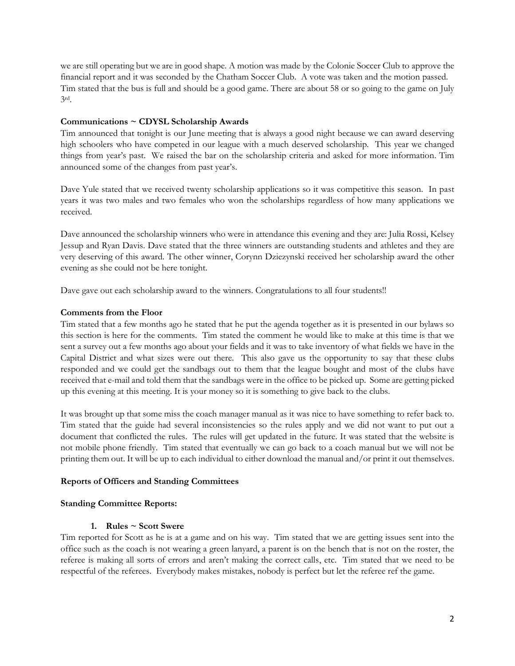we are still operating but we are in good shape. A motion was made by the Colonie Soccer Club to approve the financial report and it was seconded by the Chatham Soccer Club. A vote was taken and the motion passed. Tim stated that the bus is full and should be a good game. There are about 58 or so going to the game on July 3rd.

### **Communications ~ CDYSL Scholarship Awards**

Tim announced that tonight is our June meeting that is always a good night because we can award deserving high schoolers who have competed in our league with a much deserved scholarship. This year we changed things from year's past. We raised the bar on the scholarship criteria and asked for more information. Tim announced some of the changes from past year's.

Dave Yule stated that we received twenty scholarship applications so it was competitive this season. In past years it was two males and two females who won the scholarships regardless of how many applications we received.

Dave announced the scholarship winners who were in attendance this evening and they are: Julia Rossi, Kelsey Jessup and Ryan Davis. Dave stated that the three winners are outstanding students and athletes and they are very deserving of this award. The other winner, Corynn Dziezynski received her scholarship award the other evening as she could not be here tonight.

Dave gave out each scholarship award to the winners. Congratulations to all four students!!

#### **Comments from the Floor**

Tim stated that a few months ago he stated that he put the agenda together as it is presented in our bylaws so this section is here for the comments. Tim stated the comment he would like to make at this time is that we sent a survey out a few months ago about your fields and it was to take inventory of what fields we have in the Capital District and what sizes were out there. This also gave us the opportunity to say that these clubs responded and we could get the sandbags out to them that the league bought and most of the clubs have received that e-mail and told them that the sandbags were in the office to be picked up. Some are getting picked up this evening at this meeting. It is your money so it is something to give back to the clubs.

It was brought up that some miss the coach manager manual as it was nice to have something to refer back to. Tim stated that the guide had several inconsistencies so the rules apply and we did not want to put out a document that conflicted the rules. The rules will get updated in the future. It was stated that the website is not mobile phone friendly. Tim stated that eventually we can go back to a coach manual but we will not be printing them out. It will be up to each individual to either download the manual and/or print it out themselves.

### **Reports of Officers and Standing Committees**

#### **Standing Committee Reports:**

### **1. Rules ~ Scott Swere**

Tim reported for Scott as he is at a game and on his way. Tim stated that we are getting issues sent into the office such as the coach is not wearing a green lanyard, a parent is on the bench that is not on the roster, the referee is making all sorts of errors and aren't making the correct calls, etc. Tim stated that we need to be respectful of the referees. Everybody makes mistakes, nobody is perfect but let the referee ref the game.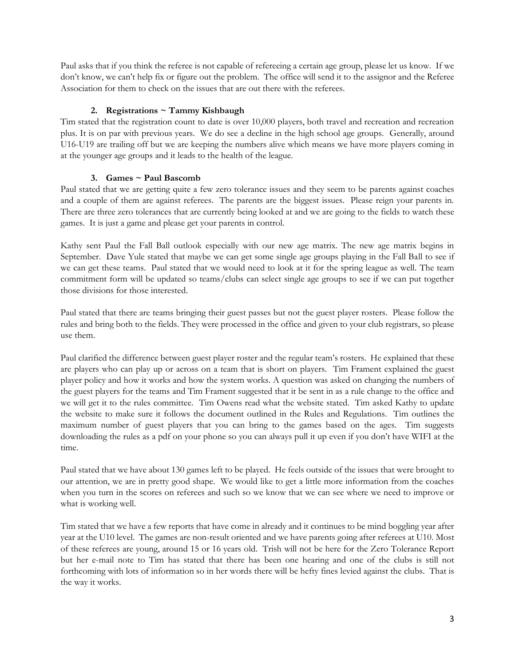Paul asks that if you think the referee is not capable of refereeing a certain age group, please let us know. If we don't know, we can't help fix or figure out the problem. The office will send it to the assignor and the Referee Association for them to check on the issues that are out there with the referees.

# **2. Registrations ~ Tammy Kishbaugh**

Tim stated that the registration count to date is over 10,000 players, both travel and recreation and recreation plus. It is on par with previous years. We do see a decline in the high school age groups. Generally, around U16-U19 are trailing off but we are keeping the numbers alive which means we have more players coming in at the younger age groups and it leads to the health of the league.

# **3. Games ~ Paul Bascomb**

Paul stated that we are getting quite a few zero tolerance issues and they seem to be parents against coaches and a couple of them are against referees. The parents are the biggest issues. Please reign your parents in. There are three zero tolerances that are currently being looked at and we are going to the fields to watch these games. It is just a game and please get your parents in control.

Kathy sent Paul the Fall Ball outlook especially with our new age matrix. The new age matrix begins in September. Dave Yule stated that maybe we can get some single age groups playing in the Fall Ball to see if we can get these teams. Paul stated that we would need to look at it for the spring league as well. The team commitment form will be updated so teams/clubs can select single age groups to see if we can put together those divisions for those interested.

Paul stated that there are teams bringing their guest passes but not the guest player rosters. Please follow the rules and bring both to the fields. They were processed in the office and given to your club registrars, so please use them.

Paul clarified the difference between guest player roster and the regular team's rosters. He explained that these are players who can play up or across on a team that is short on players. Tim Frament explained the guest player policy and how it works and how the system works. A question was asked on changing the numbers of the guest players for the teams and Tim Frament suggested that it be sent in as a rule change to the office and we will get it to the rules committee. Tim Owens read what the website stated. Tim asked Kathy to update the website to make sure it follows the document outlined in the Rules and Regulations. Tim outlines the maximum number of guest players that you can bring to the games based on the ages. Tim suggests downloading the rules as a pdf on your phone so you can always pull it up even if you don't have WIFI at the time.

Paul stated that we have about 130 games left to be played. He feels outside of the issues that were brought to our attention, we are in pretty good shape. We would like to get a little more information from the coaches when you turn in the scores on referees and such so we know that we can see where we need to improve or what is working well.

Tim stated that we have a few reports that have come in already and it continues to be mind boggling year after year at the U10 level. The games are non-result oriented and we have parents going after referees at U10. Most of these referees are young, around 15 or 16 years old. Trish will not be here for the Zero Tolerance Report but her e-mail note to Tim has stated that there has been one hearing and one of the clubs is still not forthcoming with lots of information so in her words there will be hefty fines levied against the clubs. That is the way it works.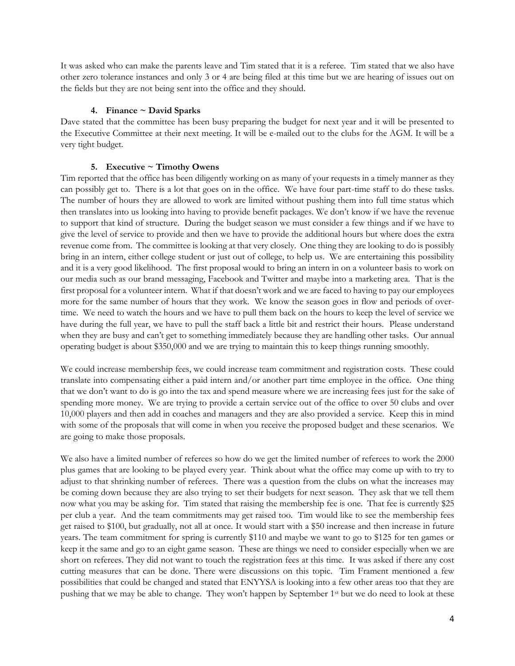It was asked who can make the parents leave and Tim stated that it is a referee. Tim stated that we also have other zero tolerance instances and only 3 or 4 are being filed at this time but we are hearing of issues out on the fields but they are not being sent into the office and they should.

# **4. Finance ~ David Sparks**

Dave stated that the committee has been busy preparing the budget for next year and it will be presented to the Executive Committee at their next meeting. It will be e-mailed out to the clubs for the AGM. It will be a very tight budget.

# **5. Executive ~ Timothy Owens**

Tim reported that the office has been diligently working on as many of your requests in a timely manner as they can possibly get to. There is a lot that goes on in the office. We have four part-time staff to do these tasks. The number of hours they are allowed to work are limited without pushing them into full time status which then translates into us looking into having to provide benefit packages. We don't know if we have the revenue to support that kind of structure. During the budget season we must consider a few things and if we have to give the level of service to provide and then we have to provide the additional hours but where does the extra revenue come from. The committee is looking at that very closely. One thing they are looking to do is possibly bring in an intern, either college student or just out of college, to help us. We are entertaining this possibility and it is a very good likelihood. The first proposal would to bring an intern in on a volunteer basis to work on our media such as our brand messaging, Facebook and Twitter and maybe into a marketing area. That is the first proposal for a volunteer intern. What if that doesn't work and we are faced to having to pay our employees more for the same number of hours that they work. We know the season goes in flow and periods of overtime. We need to watch the hours and we have to pull them back on the hours to keep the level of service we have during the full year, we have to pull the staff back a little bit and restrict their hours. Please understand when they are busy and can't get to something immediately because they are handling other tasks. Our annual operating budget is about \$350,000 and we are trying to maintain this to keep things running smoothly.

We could increase membership fees, we could increase team commitment and registration costs. These could translate into compensating either a paid intern and/or another part time employee in the office. One thing that we don't want to do is go into the tax and spend measure where we are increasing fees just for the sake of spending more money. We are trying to provide a certain service out of the office to over 50 clubs and over 10,000 players and then add in coaches and managers and they are also provided a service. Keep this in mind with some of the proposals that will come in when you receive the proposed budget and these scenarios. We are going to make those proposals.

We also have a limited number of referees so how do we get the limited number of referees to work the 2000 plus games that are looking to be played every year. Think about what the office may come up with to try to adjust to that shrinking number of referees. There was a question from the clubs on what the increases may be coming down because they are also trying to set their budgets for next season. They ask that we tell them now what you may be asking for. Tim stated that raising the membership fee is one. That fee is currently \$25 per club a year. And the team commitments may get raised too. Tim would like to see the membership fees get raised to \$100, but gradually, not all at once. It would start with a \$50 increase and then increase in future years. The team commitment for spring is currently \$110 and maybe we want to go to \$125 for ten games or keep it the same and go to an eight game season. These are things we need to consider especially when we are short on referees. They did not want to touch the registration fees at this time. It was asked if there any cost cutting measures that can be done. There were discussions on this topic. Tim Frament mentioned a few possibilities that could be changed and stated that ENYYSA is looking into a few other areas too that they are pushing that we may be able to change. They won't happen by September 1<sup>st</sup> but we do need to look at these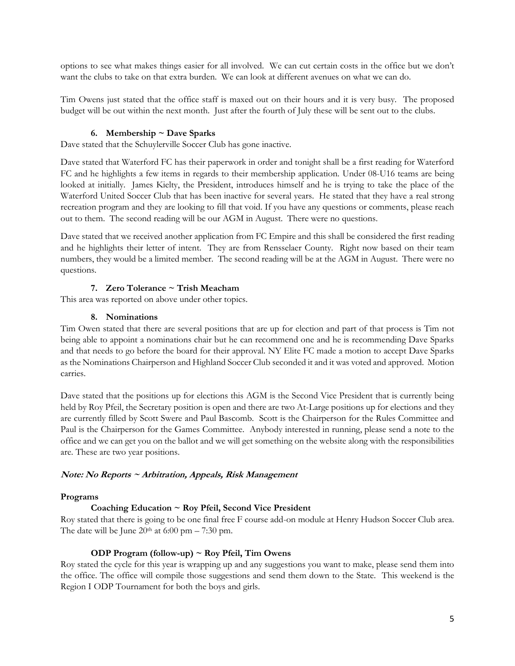options to see what makes things easier for all involved. We can cut certain costs in the office but we don't want the clubs to take on that extra burden. We can look at different avenues on what we can do.

Tim Owens just stated that the office staff is maxed out on their hours and it is very busy. The proposed budget will be out within the next month. Just after the fourth of July these will be sent out to the clubs.

### **6. Membership ~ Dave Sparks**

Dave stated that the Schuylerville Soccer Club has gone inactive.

Dave stated that Waterford FC has their paperwork in order and tonight shall be a first reading for Waterford FC and he highlights a few items in regards to their membership application. Under 08-U16 teams are being looked at initially. James Kielty, the President, introduces himself and he is trying to take the place of the Waterford United Soccer Club that has been inactive for several years. He stated that they have a real strong recreation program and they are looking to fill that void. If you have any questions or comments, please reach out to them. The second reading will be our AGM in August. There were no questions.

Dave stated that we received another application from FC Empire and this shall be considered the first reading and he highlights their letter of intent. They are from Rensselaer County. Right now based on their team numbers, they would be a limited member. The second reading will be at the AGM in August. There were no questions.

# **7. Zero Tolerance ~ Trish Meacham**

This area was reported on above under other topics.

### **8. Nominations**

Tim Owen stated that there are several positions that are up for election and part of that process is Tim not being able to appoint a nominations chair but he can recommend one and he is recommending Dave Sparks and that needs to go before the board for their approval. NY Elite FC made a motion to accept Dave Sparks as the Nominations Chairperson and Highland Soccer Club seconded it and it was voted and approved. Motion carries.

Dave stated that the positions up for elections this AGM is the Second Vice President that is currently being held by Roy Pfeil, the Secretary position is open and there are two At-Large positions up for elections and they are currently filled by Scott Swere and Paul Bascomb. Scott is the Chairperson for the Rules Committee and Paul is the Chairperson for the Games Committee. Anybody interested in running, please send a note to the office and we can get you on the ballot and we will get something on the website along with the responsibilities are. These are two year positions.

### **Note: No Reports ~ Arbitration, Appeals, Risk Management**

### **Programs**

### **Coaching Education ~ Roy Pfeil, Second Vice President**

Roy stated that there is going to be one final free F course add-on module at Henry Hudson Soccer Club area. The date will be June  $20<sup>th</sup>$  at 6:00 pm – 7:30 pm.

### **ODP Program (follow-up) ~ Roy Pfeil, Tim Owens**

Roy stated the cycle for this year is wrapping up and any suggestions you want to make, please send them into the office. The office will compile those suggestions and send them down to the State. This weekend is the Region I ODP Tournament for both the boys and girls.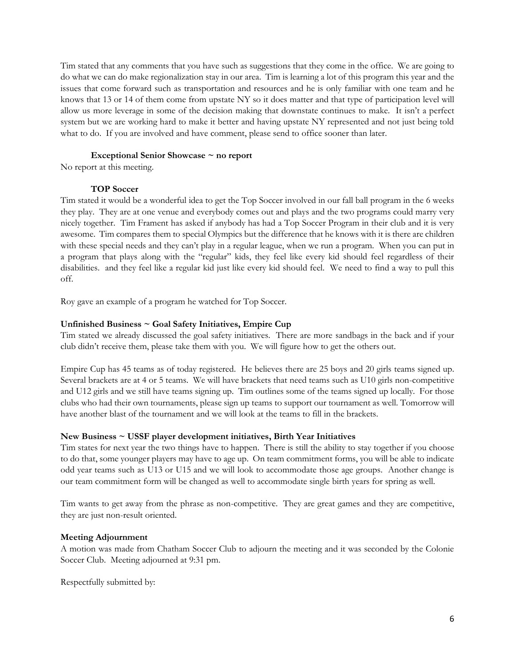Tim stated that any comments that you have such as suggestions that they come in the office. We are going to do what we can do make regionalization stay in our area. Tim is learning a lot of this program this year and the issues that come forward such as transportation and resources and he is only familiar with one team and he knows that 13 or 14 of them come from upstate NY so it does matter and that type of participation level will allow us more leverage in some of the decision making that downstate continues to make. It isn't a perfect system but we are working hard to make it better and having upstate NY represented and not just being told what to do. If you are involved and have comment, please send to office sooner than later.

### **Exceptional Senior Showcase ~ no report**

No report at this meeting.

# **TOP Soccer**

Tim stated it would be a wonderful idea to get the Top Soccer involved in our fall ball program in the 6 weeks they play. They are at one venue and everybody comes out and plays and the two programs could marry very nicely together. Tim Frament has asked if anybody has had a Top Soccer Program in their club and it is very awesome. Tim compares them to special Olympics but the difference that he knows with it is there are children with these special needs and they can't play in a regular league, when we run a program. When you can put in a program that plays along with the "regular" kids, they feel like every kid should feel regardless of their disabilities. and they feel like a regular kid just like every kid should feel. We need to find a way to pull this off.

Roy gave an example of a program he watched for Top Soccer.

# **Unfinished Business ~ Goal Safety Initiatives, Empire Cup**

Tim stated we already discussed the goal safety initiatives. There are more sandbags in the back and if your club didn't receive them, please take them with you. We will figure how to get the others out.

Empire Cup has 45 teams as of today registered. He believes there are 25 boys and 20 girls teams signed up. Several brackets are at 4 or 5 teams. We will have brackets that need teams such as U10 girls non-competitive and U12 girls and we still have teams signing up. Tim outlines some of the teams signed up locally. For those clubs who had their own tournaments, please sign up teams to support our tournament as well. Tomorrow will have another blast of the tournament and we will look at the teams to fill in the brackets.

### **New Business ~ USSF player development initiatives, Birth Year Initiatives**

Tim states for next year the two things have to happen. There is still the ability to stay together if you choose to do that, some younger players may have to age up. On team commitment forms, you will be able to indicate odd year teams such as U13 or U15 and we will look to accommodate those age groups. Another change is our team commitment form will be changed as well to accommodate single birth years for spring as well.

Tim wants to get away from the phrase as non-competitive. They are great games and they are competitive, they are just non-result oriented.

# **Meeting Adjournment**

A motion was made from Chatham Soccer Club to adjourn the meeting and it was seconded by the Colonie Soccer Club. Meeting adjourned at 9:31 pm.

Respectfully submitted by: